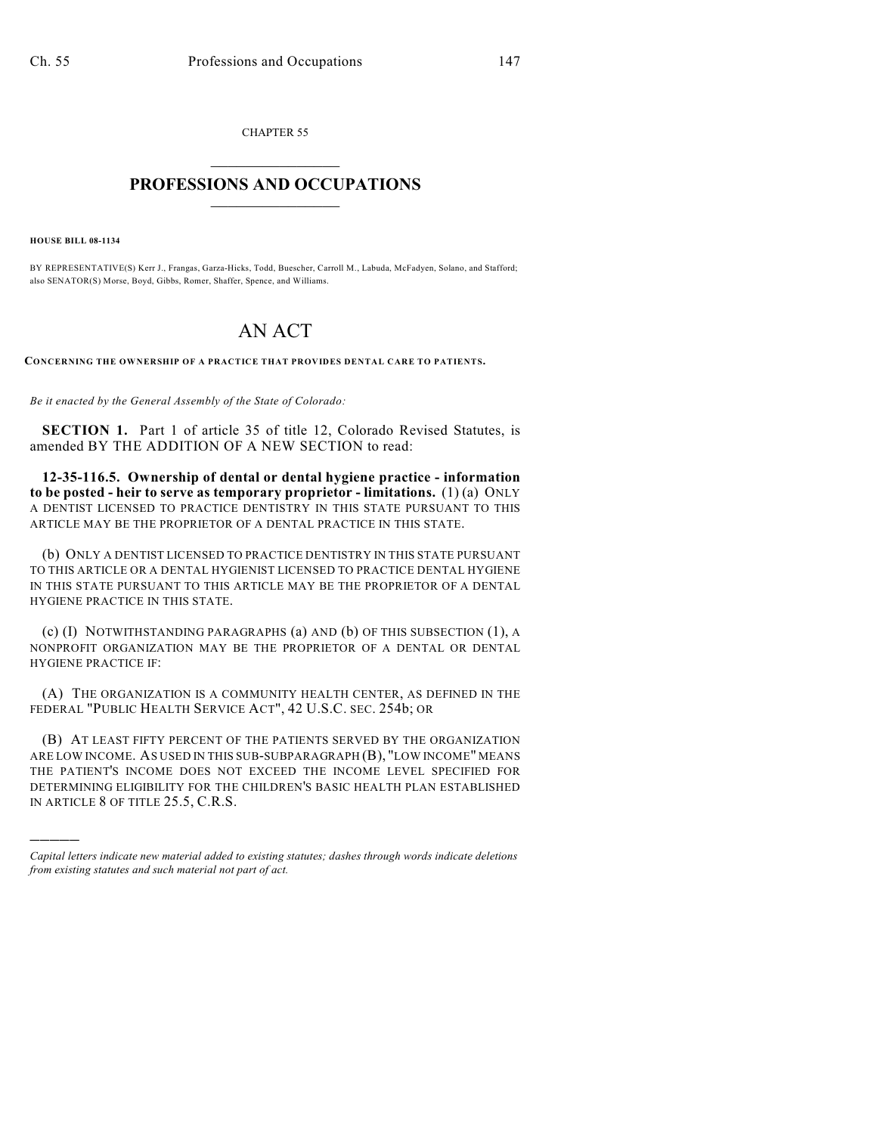CHAPTER 55

## $\mathcal{L}_\text{max}$  . The set of the set of the set of the set of the set of the set of the set of the set of the set of the set of the set of the set of the set of the set of the set of the set of the set of the set of the set **PROFESSIONS AND OCCUPATIONS**  $\frac{1}{2}$  ,  $\frac{1}{2}$  ,  $\frac{1}{2}$  ,  $\frac{1}{2}$  ,  $\frac{1}{2}$  ,  $\frac{1}{2}$

**HOUSE BILL 08-1134**

)))))

BY REPRESENTATIVE(S) Kerr J., Frangas, Garza-Hicks, Todd, Buescher, Carroll M., Labuda, McFadyen, Solano, and Stafford; also SENATOR(S) Morse, Boyd, Gibbs, Romer, Shaffer, Spence, and Williams.

## AN ACT

**CONCERNING THE OWNERSHIP OF A PRACTICE THAT PROVIDES DENTAL CARE TO PATIENTS.**

*Be it enacted by the General Assembly of the State of Colorado:*

**SECTION 1.** Part 1 of article 35 of title 12, Colorado Revised Statutes, is amended BY THE ADDITION OF A NEW SECTION to read:

**12-35-116.5. Ownership of dental or dental hygiene practice - information to be posted - heir to serve as temporary proprietor - limitations.** (1) (a) ONLY A DENTIST LICENSED TO PRACTICE DENTISTRY IN THIS STATE PURSUANT TO THIS ARTICLE MAY BE THE PROPRIETOR OF A DENTAL PRACTICE IN THIS STATE.

(b) ONLY A DENTIST LICENSED TO PRACTICE DENTISTRY IN THIS STATE PURSUANT TO THIS ARTICLE OR A DENTAL HYGIENIST LICENSED TO PRACTICE DENTAL HYGIENE IN THIS STATE PURSUANT TO THIS ARTICLE MAY BE THE PROPRIETOR OF A DENTAL HYGIENE PRACTICE IN THIS STATE.

(c) (I) NOTWITHSTANDING PARAGRAPHS (a) AND (b) OF THIS SUBSECTION (1), A NONPROFIT ORGANIZATION MAY BE THE PROPRIETOR OF A DENTAL OR DENTAL HYGIENE PRACTICE IF:

(A) THE ORGANIZATION IS A COMMUNITY HEALTH CENTER, AS DEFINED IN THE FEDERAL "PUBLIC HEALTH SERVICE ACT", 42 U.S.C. SEC. 254b; OR

(B) AT LEAST FIFTY PERCENT OF THE PATIENTS SERVED BY THE ORGANIZATION ARE LOW INCOME. AS USED IN THIS SUB-SUBPARAGRAPH (B), "LOW INCOME" MEANS THE PATIENT'S INCOME DOES NOT EXCEED THE INCOME LEVEL SPECIFIED FOR DETERMINING ELIGIBILITY FOR THE CHILDREN'S BASIC HEALTH PLAN ESTABLISHED IN ARTICLE 8 OF TITLE 25.5, C.R.S.

*Capital letters indicate new material added to existing statutes; dashes through words indicate deletions from existing statutes and such material not part of act.*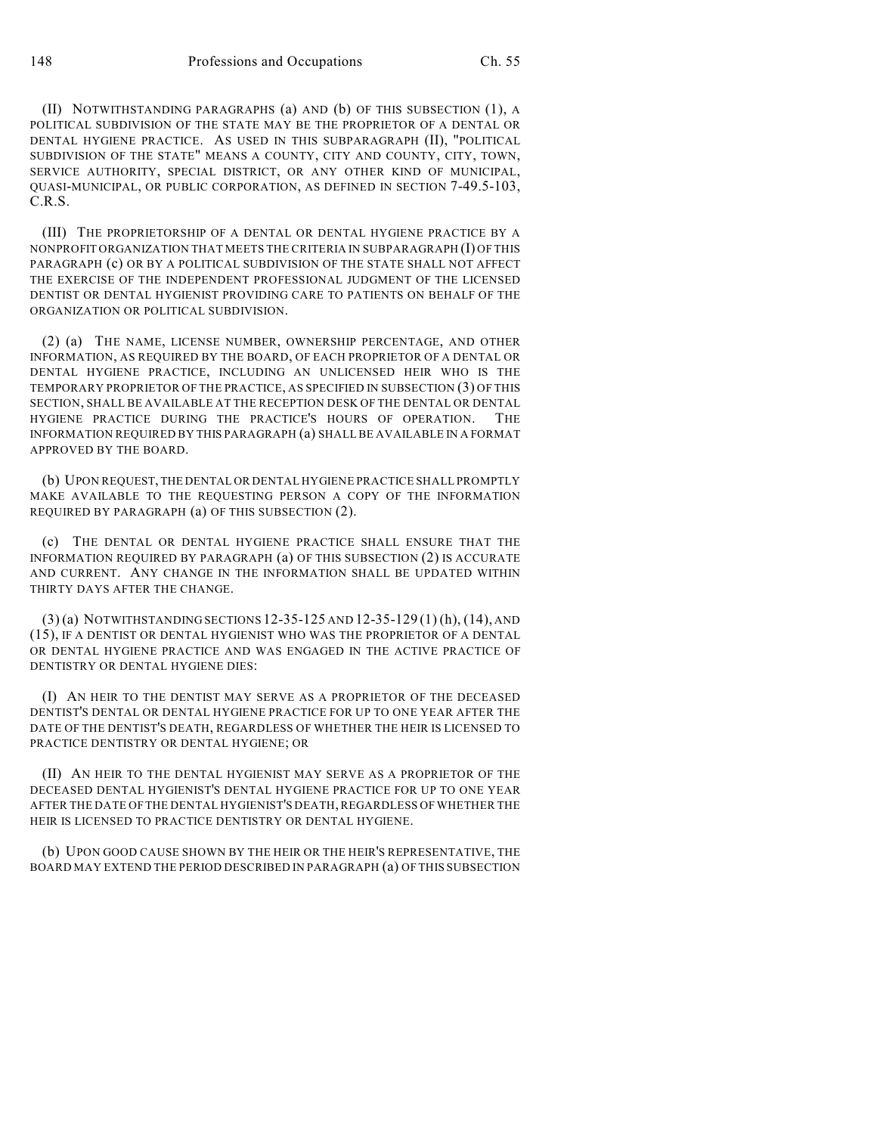(II) NOTWITHSTANDING PARAGRAPHS (a) AND (b) OF THIS SUBSECTION (1), A POLITICAL SUBDIVISION OF THE STATE MAY BE THE PROPRIETOR OF A DENTAL OR DENTAL HYGIENE PRACTICE. AS USED IN THIS SUBPARAGRAPH (II), "POLITICAL SUBDIVISION OF THE STATE" MEANS A COUNTY, CITY AND COUNTY, CITY, TOWN, SERVICE AUTHORITY, SPECIAL DISTRICT, OR ANY OTHER KIND OF MUNICIPAL, QUASI-MUNICIPAL, OR PUBLIC CORPORATION, AS DEFINED IN SECTION 7-49.5-103, C.R.S.

(III) THE PROPRIETORSHIP OF A DENTAL OR DENTAL HYGIENE PRACTICE BY A NONPROFIT ORGANIZATION THAT MEETS THE CRITERIA IN SUBPARAGRAPH (I) OF THIS PARAGRAPH (c) OR BY A POLITICAL SUBDIVISION OF THE STATE SHALL NOT AFFECT THE EXERCISE OF THE INDEPENDENT PROFESSIONAL JUDGMENT OF THE LICENSED DENTIST OR DENTAL HYGIENIST PROVIDING CARE TO PATIENTS ON BEHALF OF THE ORGANIZATION OR POLITICAL SUBDIVISION.

(2) (a) THE NAME, LICENSE NUMBER, OWNERSHIP PERCENTAGE, AND OTHER INFORMATION, AS REQUIRED BY THE BOARD, OF EACH PROPRIETOR OF A DENTAL OR DENTAL HYGIENE PRACTICE, INCLUDING AN UNLICENSED HEIR WHO IS THE TEMPORARY PROPRIETOR OF THE PRACTICE, AS SPECIFIED IN SUBSECTION (3) OF THIS SECTION, SHALL BE AVAILABLE AT THE RECEPTION DESK OF THE DENTAL OR DENTAL HYGIENE PRACTICE DURING THE PRACTICE'S HOURS OF OPERATION. THE INFORMATION REQUIRED BY THIS PARAGRAPH (a) SHALL BE AVAILABLE IN A FORMAT APPROVED BY THE BOARD.

(b) UPON REQUEST, THE DENTAL OR DENTAL HYGIENE PRACTICE SHALL PROMPTLY MAKE AVAILABLE TO THE REQUESTING PERSON A COPY OF THE INFORMATION REQUIRED BY PARAGRAPH (a) OF THIS SUBSECTION (2).

(c) THE DENTAL OR DENTAL HYGIENE PRACTICE SHALL ENSURE THAT THE INFORMATION REQUIRED BY PARAGRAPH (a) OF THIS SUBSECTION (2) IS ACCURATE AND CURRENT. ANY CHANGE IN THE INFORMATION SHALL BE UPDATED WITHIN THIRTY DAYS AFTER THE CHANGE.

(3) (a) NOTWITHSTANDING SECTIONS 12-35-125 AND 12-35-129 (1) (h), (14), AND (15), IF A DENTIST OR DENTAL HYGIENIST WHO WAS THE PROPRIETOR OF A DENTAL OR DENTAL HYGIENE PRACTICE AND WAS ENGAGED IN THE ACTIVE PRACTICE OF DENTISTRY OR DENTAL HYGIENE DIES:

(I) AN HEIR TO THE DENTIST MAY SERVE AS A PROPRIETOR OF THE DECEASED DENTIST'S DENTAL OR DENTAL HYGIENE PRACTICE FOR UP TO ONE YEAR AFTER THE DATE OF THE DENTIST'S DEATH, REGARDLESS OF WHETHER THE HEIR IS LICENSED TO PRACTICE DENTISTRY OR DENTAL HYGIENE; OR

(II) AN HEIR TO THE DENTAL HYGIENIST MAY SERVE AS A PROPRIETOR OF THE DECEASED DENTAL HYGIENIST'S DENTAL HYGIENE PRACTICE FOR UP TO ONE YEAR AFTER THE DATE OF THE DENTAL HYGIENIST'S DEATH, REGARDLESS OF WHETHER THE HEIR IS LICENSED TO PRACTICE DENTISTRY OR DENTAL HYGIENE.

(b) UPON GOOD CAUSE SHOWN BY THE HEIR OR THE HEIR'S REPRESENTATIVE, THE BOARD MAY EXTEND THE PERIOD DESCRIBED IN PARAGRAPH (a) OF THIS SUBSECTION